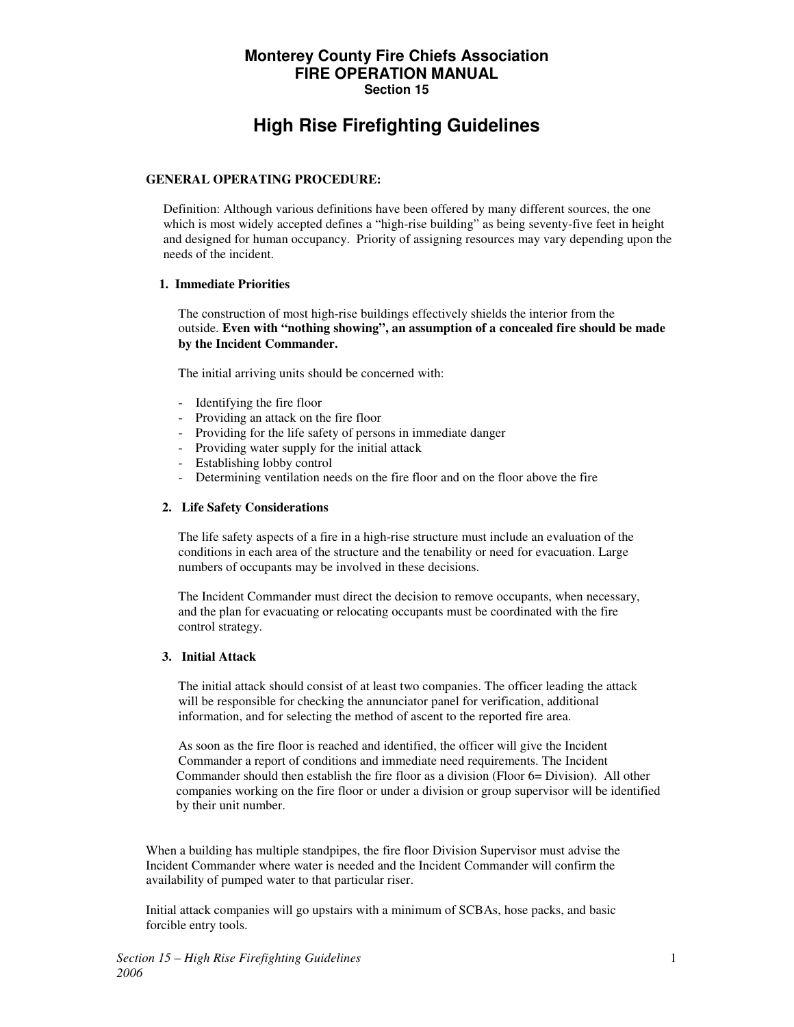# **Monterey County Fire Chiefs Association FIRE OPERATION MANUAL Section 15**

# **High Rise Firefighting Guidelines**

## **GENERAL OPERATING PROCEDURE:**

Definition: Although various definitions have been offered by many different sources, the one which is most widely accepted defines a "high-rise building" as being seventy-five feet in height and designed for human occupancy. Priority of assigning resources may vary depending upon the needs of the incident.

#### **1. Immediate Priorities**

 The construction of most high-rise buildings effectively shields the interior from the outside. **Even with "nothing showing", an assumption of a concealed fire should be made by the Incident Commander.**

The initial arriving units should be concerned with:

- Identifying the fire floor
- Providing an attack on the fire floor
- Providing for the life safety of persons in immediate danger
- Providing water supply for the initial attack
- Establishing lobby control
- Determining ventilation needs on the fire floor and on the floor above the fire

### **2. Life Safety Considerations**

 The life safety aspects of a fire in a high-rise structure must include an evaluation of the conditions in each area of the structure and the tenability or need for evacuation. Large numbers of occupants may be involved in these decisions.

 The Incident Commander must direct the decision to remove occupants, when necessary, and the plan for evacuating or relocating occupants must be coordinated with the fire control strategy.

### **3. Initial Attack**

 The initial attack should consist of at least two companies. The officer leading the attack will be responsible for checking the annunciator panel for verification, additional information, and for selecting the method of ascent to the reported fire area.

 As soon as the fire floor is reached and identified, the officer will give the Incident Commander a report of conditions and immediate need requirements. The Incident Commander should then establish the fire floor as a division (Floor 6= Division). All other companies working on the fire floor or under a division or group supervisor will be identified by their unit number.

 When a building has multiple standpipes, the fire floor Division Supervisor must advise the Incident Commander where water is needed and the Incident Commander will confirm the availability of pumped water to that particular riser.

 Initial attack companies will go upstairs with a minimum of SCBAs, hose packs, and basic forcible entry tools.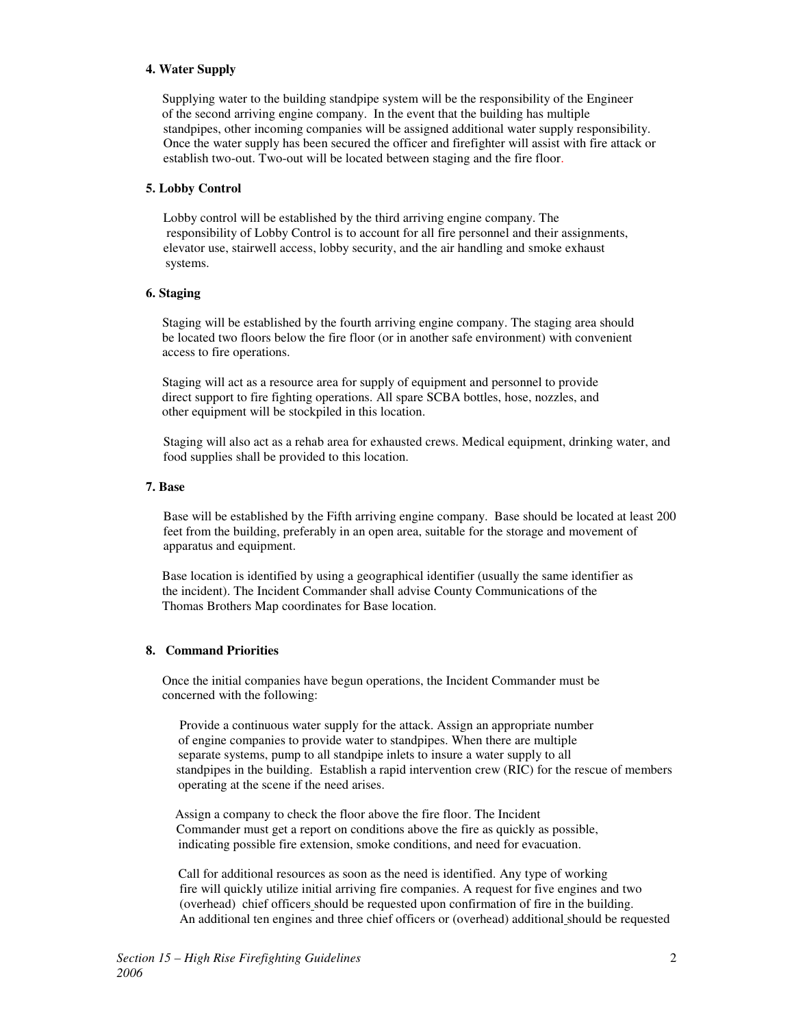#### **4. Water Supply**

 Supplying water to the building standpipe system will be the responsibility of the Engineer of the second arriving engine company. In the event that the building has multiple standpipes, other incoming companies will be assigned additional water supply responsibility. Once the water supply has been secured the officer and firefighter will assist with fire attack or establish two-out. Two-out will be located between staging and the fire floor.

#### **5. Lobby Control**

 Lobby control will be established by the third arriving engine company. The responsibility of Lobby Control is to account for all fire personnel and their assignments, elevator use, stairwell access, lobby security, and the air handling and smoke exhaust systems.

#### **6. Staging**

 Staging will be established by the fourth arriving engine company. The staging area should be located two floors below the fire floor (or in another safe environment) with convenient access to fire operations.

 Staging will act as a resource area for supply of equipment and personnel to provide direct support to fire fighting operations. All spare SCBA bottles, hose, nozzles, and other equipment will be stockpiled in this location.

Staging will also act as a rehab area for exhausted crews. Medical equipment, drinking water, and food supplies shall be provided to this location.

#### **7. Base**

Base will be established by the Fifth arriving engine company. Base should be located at least 200 feet from the building, preferably in an open area, suitable for the storage and movement of apparatus and equipment.

 Base location is identified by using a geographical identifier (usually the same identifier as the incident). The Incident Commander shall advise County Communications of the Thomas Brothers Map coordinates for Base location.

### **8. Command Priorities**

 Once the initial companies have begun operations, the Incident Commander must be concerned with the following:

 Provide a continuous water supply for the attack. Assign an appropriate number of engine companies to provide water to standpipes. When there are multiple separate systems, pump to all standpipe inlets to insure a water supply to all standpipes in the building. Establish a rapid intervention crew (RIC) for the rescue of members operating at the scene if the need arises.

 Assign a company to check the floor above the fire floor. The Incident Commander must get a report on conditions above the fire as quickly as possible, indicating possible fire extension, smoke conditions, and need for evacuation.

 Call for additional resources as soon as the need is identified. Any type of working fire will quickly utilize initial arriving fire companies. A request for five engines and two (overhead) chief officers should be requested upon confirmation of fire in the building. An additional ten engines and three chief officers or (overhead) additional should be requested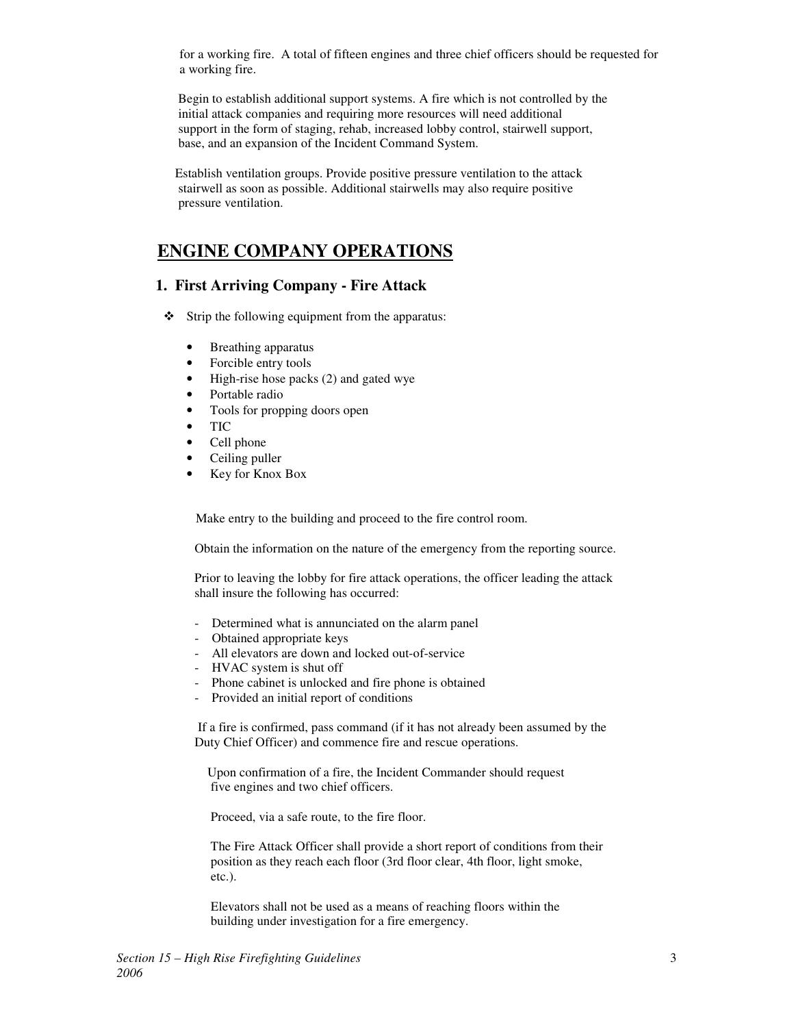for a working fire. A total of fifteen engines and three chief officers should be requested for a working fire.

 Begin to establish additional support systems. A fire which is not controlled by the initial attack companies and requiring more resources will need additional support in the form of staging, rehab, increased lobby control, stairwell support, base, and an expansion of the Incident Command System.

 Establish ventilation groups. Provide positive pressure ventilation to the attack stairwell as soon as possible. Additional stairwells may also require positive pressure ventilation.

# **ENGINE COMPANY OPERATIONS**

# **1. First Arriving Company - Fire Attack**

- $\div$  Strip the following equipment from the apparatus:
	- Breathing apparatus
	- Forcible entry tools
	- High-rise hose packs (2) and gated wye
	- Portable radio
	- Tools for propping doors open
	- TIC
	- Cell phone
	- Ceiling puller
	- Key for Knox Box

Make entry to the building and proceed to the fire control room.

Obtain the information on the nature of the emergency from the reporting source.

 Prior to leaving the lobby for fire attack operations, the officer leading the attack shall insure the following has occurred:

- Determined what is annunciated on the alarm panel
- Obtained appropriate keys
- All elevators are down and locked out-of-service
- HVAC system is shut off
- Phone cabinet is unlocked and fire phone is obtained
- Provided an initial report of conditions

 If a fire is confirmed, pass command (if it has not already been assumed by the Duty Chief Officer) and commence fire and rescue operations.

 Upon confirmation of a fire, the Incident Commander should request five engines and two chief officers.

Proceed, via a safe route, to the fire floor.

 The Fire Attack Officer shall provide a short report of conditions from their position as they reach each floor (3rd floor clear, 4th floor, light smoke, etc.).

 Elevators shall not be used as a means of reaching floors within the building under investigation for a fire emergency.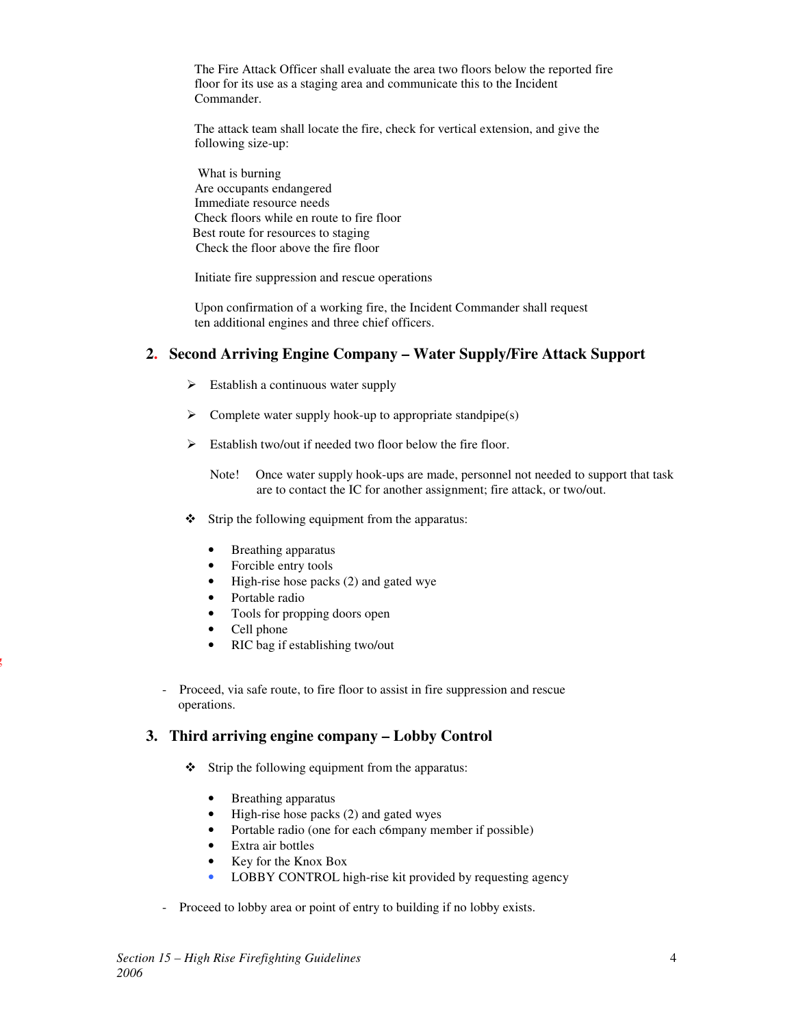The Fire Attack Officer shall evaluate the area two floors below the reported fire floor for its use as a staging area and communicate this to the Incident Commander.

 The attack team shall locate the fire, check for vertical extension, and give the following size-up:

 What is burning Are occupants endangered Immediate resource needs Check floors while en route to fire floor Best route for resources to staging Check the floor above the fire floor

Initiate fire suppression and rescue operations

 Upon confirmation of a working fire, the Incident Commander shall request ten additional engines and three chief officers.

# **2. Second Arriving Engine Company – Water Supply/Fire Attack Support**

- > Establish a continuous water supply
- > Complete water supply hook-up to appropriate standpipe(s)
- > Establish two/out if needed two floor below the fire floor.
	- Note! Once water supply hook-ups are made, personnel not needed to support that task are to contact the IC for another assignment; fire attack, or two/out.
- $\div$  Strip the following equipment from the apparatus:
	- Breathing apparatus
	- Forcible entry tools
	- High-rise hose packs (2) and gated wye
	- Portable radio
	- Tools for propping doors open
	- Cell phone

r<br>S

- RIC bag if establishing two/out
- Proceed, via safe route, to fire floor to assist in fire suppression and rescue operations.

# **3. Third arriving engine company – Lobby Control**

- $\div$  Strip the following equipment from the apparatus:
	- Breathing apparatus
	- High-rise hose packs (2) and gated wyes
	- Portable radio (one for each c6mpany member if possible)
	- Extra air bottles
	- Key for the Knox Box
	- LOBBY CONTROL high-rise kit provided by requesting agency
- Proceed to lobby area or point of entry to building if no lobby exists.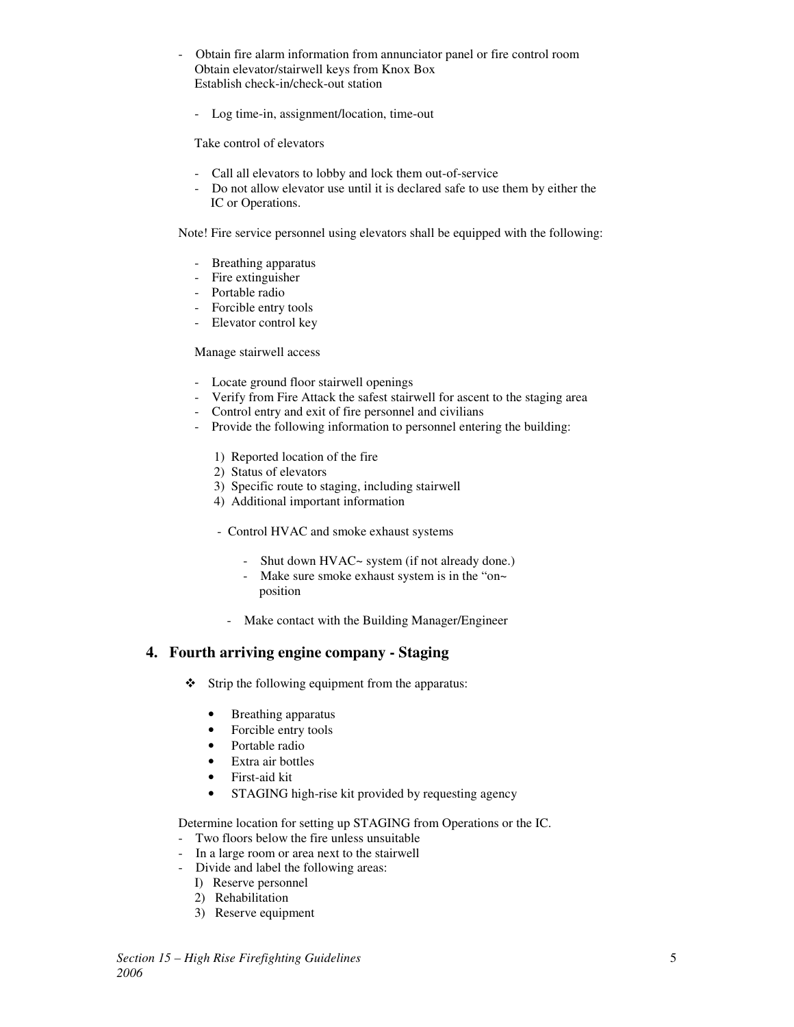- Obtain fire alarm information from annunciator panel or fire control room Obtain elevator/stairwell keys from Knox Box Establish check-in/check-out station
	- Log time-in, assignment/location, time-out

Take control of elevators

- Call all elevators to lobby and lock them out-of-service
- Do not allow elevator use until it is declared safe to use them by either the IC or Operations.

Note! Fire service personnel using elevators shall be equipped with the following:

- Breathing apparatus
- Fire extinguisher
- Portable radio
- Forcible entry tools
- Elevator control key

#### Manage stairwell access

- Locate ground floor stairwell openings
- Verify from Fire Attack the safest stairwell for ascent to the staging area
- Control entry and exit of fire personnel and civilians
- Provide the following information to personnel entering the building:
	- 1) Reported location of the fire
	- 2) Status of elevators
	- 3) Specific route to staging, including stairwell
	- 4) Additional important information
	- Control HVAC and smoke exhaust systems
		- Shut down HVAC~ system (if not already done.)
		- Make sure smoke exhaust system is in the "on~ position
		- Make contact with the Building Manager/Engineer

# **4. Fourth arriving engine company - Staging**

- Strip the following equipment from the apparatus:
	- Breathing apparatus
	- Forcible entry tools
	- Portable radio
	- Extra air bottles
	- First-aid kit
	- STAGING high-rise kit provided by requesting agency

Determine location for setting up STAGING from Operations or the IC.

- Two floors below the fire unless unsuitable
- In a large room or area next to the stairwell
- Divide and label the following areas:
	- I) Reserve personnel
	- 2) Rehabilitation
	- 3) Reserve equipment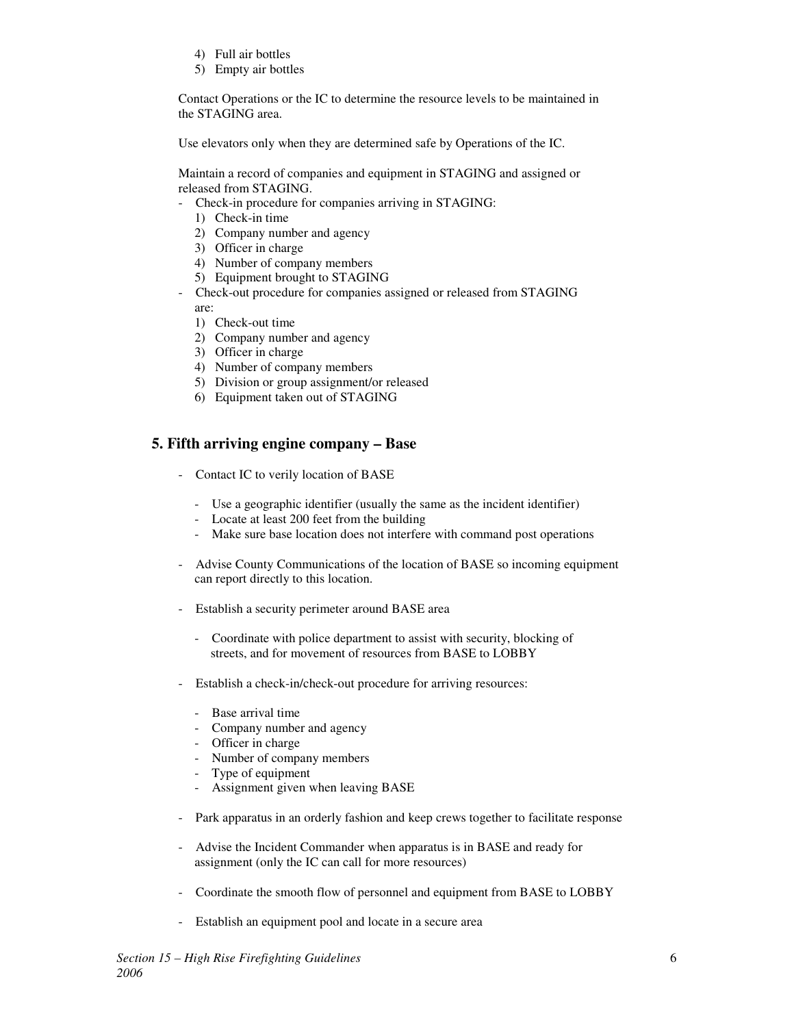- 4) Full air bottles
- 5) Empty air bottles

 Contact Operations or the IC to determine the resource levels to be maintained in the STAGING area.

Use elevators only when they are determined safe by Operations of the IC.

 Maintain a record of companies and equipment in STAGING and assigned or released from STAGING.

- Check-in procedure for companies arriving in STAGING:
	- 1) Check-in time
	- 2) Company number and agency
	- 3) Officer in charge
	- 4) Number of company members
	- 5) Equipment brought to STAGING
- Check-out procedure for companies assigned or released from STAGING are:
	- 1) Check-out time
	- 2) Company number and agency
	- 3) Officer in charge
	- 4) Number of company members
	- 5) Division or group assignment/or released
	- 6) Equipment taken out of STAGING

# **5. Fifth arriving engine company – Base**

- Contact IC to verily location of BASE
	- Use a geographic identifier (usually the same as the incident identifier)
	- Locate at least 200 feet from the building
	- Make sure base location does not interfere with command post operations
- Advise County Communications of the location of BASE so incoming equipment can report directly to this location.
- Establish a security perimeter around BASE area
	- Coordinate with police department to assist with security, blocking of streets, and for movement of resources from BASE to LOBBY
- Establish a check-in/check-out procedure for arriving resources:
	- Base arrival time
	- Company number and agency
	- Officer in charge
	- Number of company members
	- Type of equipment
	- Assignment given when leaving BASE
- Park apparatus in an orderly fashion and keep crews together to facilitate response
- Advise the Incident Commander when apparatus is in BASE and ready for assignment (only the IC can call for more resources)
- Coordinate the smooth flow of personnel and equipment from BASE to LOBBY
- Establish an equipment pool and locate in a secure area